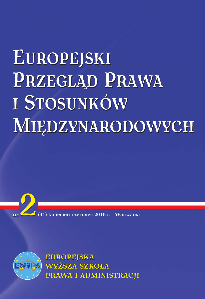# EUROPEJSKI PRZEGLĄD PRAWA I STOSUNKÓW MIEDZYNARODOWYCH





**EUROPEJSKA WYŻSZA SZKOŁA** PRAWA I ADMINISTRACJI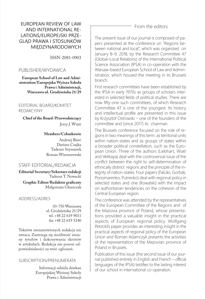## EUROPEAN REVIEW OF LAW AND INTERNATIONAL RE-LATIONS/EUROPEJSKI PRZE-GLĄD PRAWA I STOSUNKÓW MIĘDZYNARODOWYCH

ISSN-2081-0903

## PUBLISHER/WYDAWCA

**European School of Law and Administration/Europejska Wyższa Szkoła Prawa i Administracji, Warszawa ul. Grodzieńska 21/29**

EDITORIAL BOARD/KOMITET REDAKCYJNY

**Chief of the Board /Przewodniczący** Jerzy J. Wiatr

#### **Members/Członkowie**

Andrzej Bierć Dariusz Czajka Tadeusz Szymanek Roman Wieruszewski

## STAFF EDITORIAL/REDAKCJA

**Editorial Secretary/Sekretarz redakcji** Tadeusz T. Nowacki **Graphic Editor/Redaktor graficzny** Małgorzata Głuszczak

ADDRESS/ADRES

03-750 Warszawa ul. Grodzieńska 21/29 tel. +48 22 619 9011 fax +48 22 619 5240

Tekstów niezamówionych redakcja nie zwraca. Zastrzega się możliwość zmiany tytułów i dokonywania skrótów w artykułach. Redakcja nie ponosi odpowiedzialności za treść ogłoszeń.

#### SUBSCRIPTION/PRENUMERATA

Informacji udziela dziekan Europejskiej Wyższej Szkoły Prawa i Administracji

## From the editors

The present issue of our journal is composed of papers presented at the conference on "Regions between national and local", which was organized on January 8–9, 2018, by the Research Committee 47 (Global–Local Relations) of the International Political Science Association (IPSA) in co-operation with the Warsaw-based European School of Law and Administration, which housed the meeting in its Brussels branch.

First research committees have been established by the IPSA in early 1970s as groups of scholars interested in selected fields of political studies. There are now fifty-one such committees, of which Research Committee 47 is one of the youngest. Its history and intellectual profile are presented in this issue by Krzysztof Ostrowski – one of the founders of the committee and (since 2017) its chairman.

The Brussels conference focused on the role of regions in two meanings of this term: as territorial units within nation-states and as groups of states within a broader political constellation, such as the European Union. Three of the authors (Liebhart, Wiatr and Velikaya) deal with the controversial issue of the conflict between the right to self-determination of ethnically distinct regions and the principle of the integrity of nation-states. Four papers (Falcão, Gorbak, Ponomarenko, Putrenko) deal with regional policy in selected states and one (Kowalski) with the impact on authoritarian tendencies on the cohesion of the Central European region.

The conference was attended by the representatives of the European Committee of the Regions and of the Mazovia province of Poland, whose presentations provided a valuable insight in the practical aspects of European regional policy. Wolfgang Petzold's paper provides an interesting insight in the practical aspects of regional policy of the European Union and Roman Adamczyk presents the activities of the representation of the Mazovian province of Poland in Brussels.

Publication of this issue (the second issue of our journal published entirely in English and French – official languages of the IPSA) testifies to the lasting interest of our school in international co-operation.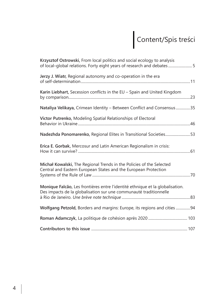## Content/Spis treści

| Krzysztof Ostrowski, From local politics and social ecology to analysis<br>of local-global relations. Forty eight years of research and debates 5  |
|----------------------------------------------------------------------------------------------------------------------------------------------------|
| Jerzy J. Wiatr, Regional autonomy and co-operation in the era                                                                                      |
| Karin Liebhart, Secession conflicts in the EU - Spain and United Kingdom                                                                           |
| Nataliya Velikaya, Crimean Identity - Between Conflict and Consensus35                                                                             |
| Victor Putrenko, Modeling Spatial Relationships of Electoral                                                                                       |
| Nadezhda Ponomarenko, Regional Elites in Transitional Societies53                                                                                  |
| Erica E. Gorbak, Mercosur and Latin American Regionalism in crisis:                                                                                |
| Michał Kowalski, The Regional Trends in the Policies of the Selected<br>Central and Eastern European States and the European Protection            |
| Monique Falcão, Les frontières entre l'identité ethnique et la globalisation.<br>Des impacts de la globalisation sur une communauté traditionnelle |
| Wolfgang Petzold, Borders and margins: Europe, its regions and cities 94                                                                           |
|                                                                                                                                                    |
|                                                                                                                                                    |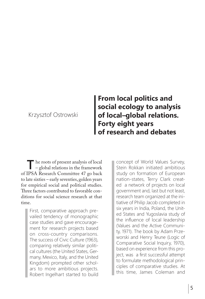## Krzysztof Ostrowski

## **From local politics and social ecology to analysis of local–global relations. Forty eight years of research and debates**

**T**he roots of present analysis of local – global relations in the framework of IPSA Research Committee 47 go back to late sixties – early seventies, golden years for empirical social and political studies. Three factors contributed to favorable conditions for social science research at that time.

> First, comparative approach prevailed tendency of monographic case studies and gave encouragement for research projects based on cross-country comparisons. The success of Civic Culture (1963), comparing relatively similar political cultures (the United States, Germany, Mexico, Italy, and the United Kingdom) prompted other scholars to more ambitious projects. Robert Ingelhart started to build

concept of World Values Survey, Stein Rokkan initiated ambitious study on formation of European nation-states, Terry Clark created a network of projects on local government and, last but not least, research team organized at the initiative of Philip Jacob completed in six years in India, Poland, the United States and Yugoslavia study of the influence of local leadership (Values and the Active Community, 1971). The book by Adam Przeworski and Henry Teune (Logic of Comparative Social Inquiry, 1970), based on experience from this project, was a first successful attempt to formulate methodological principles of comparative studies. At this time, James Coleman and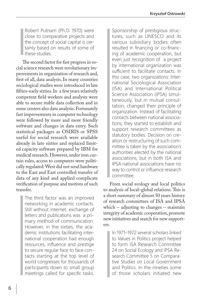Robert Putnam (Ph.D. 1970) were close to comparative projects and the concept of social capital is certainly based on results of some of these studies.

The second factor for fast progress in social science research were revolutionary improvements in organization of research and, first of all, data analysis. In many countries sociological studies were introduced in late fifties–early sixties. In a few years relatively competent field workers and analysts were able to secure stable data collection and in some centers also data analysis. Fortunately fast improvements in computer technology were followed by more and more friendly software and changes in data entry. Such statistical packages as OSIRIS or SPSS useful for social research were available already in late sixties and replaced limited capacity software prepared by IBM for medical research. However, under iron curtain rules, access to computers were politically regulated: West did not send hardware to the East and East controlled transfer of data of any kind and applied complicate verification of purpose and motives of such transfer.

> The third factor was an improved networking in academic contacts. Still without internet, exchange of letters and publications was a primary method of communication. However, in the sixties, the academic institutions facilitating international cooperation had enough resources, influence and prestige to secure regular face to face contacts starting at the top level of world congresses for thousands of participants down to small group meetings called for specific tasks.

Sponsorship of prestigious structures, such as UNESCO and its various subsidiary bodies often resulted in financing or co-financing of academic cooperation, but even just recognition of a project by international organization was sufficient to facilitate contacts. In this case, two organizations: International Sociological Association (ISA) and International Political Science Association (IPSA) simultaneously, but in mutual consultation, changed their principle of organization. Instead of facilitating contacts between national associations, they started to establish and support research committees as statutory bodies. Decision on creation or restructuring of such committee is taken by the association's authorities elected by the national associations, but in both ISA and IPSA national associations have no way to control or influence research committee.

From social ecology and local politics to analysis of local–global relations. This is a short summary of almost 50 years history of research committees of ISA and IPSA which – adjusting to changes – maintain integrity of academic cooperation, promote new initiatives and search for new supporters.

> In 1971–1972 several scholars linked to Values in Politics project helped to form ISA Research Committee 24 on Social Ecology and IPSA Research Committee 5 on Comparative Studies on Local Government and Politics. In the nineties some of those scholars initiated new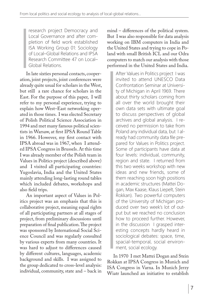research project Democracy and Local Governance and after completion of field work established ISA Working Group 01: Sociology of Local–Global Relations and IPSA Research Committee 47 on Local– Global Relations.

In late sixties personal contacts, cooperation, joint projects, joint conferences were already quite usual for scholars in the West, but still a rare chance for scholars in the East. For the purpose of this paper, I will refer to my personal experience, trying to explain how West–East networking operated in those times. I was elected Secretary of Polish Political Science Association in 1994 and met many famous political scientists in Warsaw, at first IPSA Round Table in 1966. However, my first contact with IPSA abroad was in 1967, when I attended IPSA Congress in Brussels. At this time I was already member of the Polish team in Values in Politics project (described above) and I visited all participating countries: Yugoslavia, India and the United States mainly attending long-lasting round tables which included debates, workshops and also field trips.

An important aspect of Values in Politics project was an emphasis that this is collaborative project, meaning equal rights of all participating partners at all stages of project, from preliminary discussions until preparation of final publication. The project was sponsored by International Social Science Council and was regularly consulted by various experts from many countries. It was hard to adjust to differences caused by different cultures, languages, academic background and skills. I was assigned to the group dedicated to cross-level analysis: individual, community, state and – back in

mind – differences of the political system. But I was also responsible for data analysis working on IBM computers in India and the United States and trying to cope in Poland with small British ICL and our Odra computers to match our analysis with those performed in the United States and India.

After Values in Politics project I was invited to attend UNESCO Data Confrontation Seminar at University of Michigan in April 1969. There about thirty scholars coming from all over the world brought their own data sets with ultimate goal to discuss perspectives of global archives and global analysis. I received no permission to take from Poland any individual data, but I already had community data file prepared for Values in Politics project. Some of participants have data at four levels: individual, community, region and state. I returned from this two weeks workshop with new ideas and new friends, some of them reaching soon high positions in academic structures (Mattei Dogan, Max Kaase, Klaus Liepelt, Stein Rokkan). Two powerful computers of the University of Michigan produced over two week's lot of output but we reached no conclusion how to proceed further. However, in the discussion I grasped interesting concepts hardly heard in sociological debates: space, time, spacial-temporal, social environment, social ecology.

In 1970 I met Mattei Dogan and Stein Rokkan at IPSA Congress in Munich and ISA Congress in Varna. In Munich Jerzy Wiatr launched an initiative to establish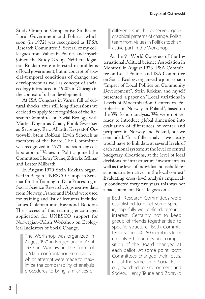Study Group on Comparative Studies on Local Government and Politics, which soon (in 1972) was recognized as IPSA Research Committee 5. Several of my colleagues from Values in Politics and myself joined the Study Group. Neither Dogan nor Rokkan were interested in problems of local government, but in concept of spacial-temporal conditions of change and development as well as concept of social ecology introduced in 1920's in Chicago in the context of urban development.

At ISA Congress in Varna, full of cultural shocks, after still long discussions we decided to apply for recognition of the Research Committee on Social Ecology, with Mattei Dogan as Chair, Frank Sweetser as Secretary, Eric Allardt, Krzysztof Ostrowski, Stein Rokkan, Ervin Scheuch as members of the Board. The Committee was recognized in 1971, and soon key collaborators of Values in Politics joined the Committee: Henry Teune, Zdravko Mlinar and Lester Milbrath.

In August 1970 Stein Rokkan organized in Bergen UNESCO European Seminar for the Training in Data Processing in Social Science Research. Aggregative data from Norway, France and Poland were used for training and list of lecturers included James Coleman and Raymond Boudon. The success of this training encouraged application for UNESCO support for Norwegian–Polish Workshop on Ecological Indicators of Social Change.

> The Workshop was organized in August 1971 in Bergen and in April 1972 in Warsaw in the form of a "data confrontation seminar" at which attempt were made to maximize the comparability of analysis procedures to bring similarities or

differences in the observed geographical patterns of change. Polish team from Values in Politics took an active part in the Workshop.

At the 9<sup>th</sup> World Congress of the International Political Science Association in Montreal in August 1973 IPSA Committee on Local Politics and ISA Committee on Social Ecology organized a joint session "Impact of Local Politics on Community Development". Stein Rokkan and myself presented a paper on "Local Variations in Levels of Modernization: Centers vs. Peripheries in Norway in Poland", based on the Workshop analysis. We were not yet ready to introduce global dimension into evaluation of differences of center and periphery in Norway and Poland, but we concluded: "In a fuller analysis we clearly would have to link data at several levels of each national system: at the level of central budgetary allocations, at the level of local decisions of infrastructure investments as well as the level of individual household reactions to alternatives in the local context" Evaluating cross-level analysis empirically conducted forty five years this was not a bad statement. But life goes on…

Both Research Committees were established to meet some specific, hopefully well defined, research interest. Certainly not to keep group of friends together tied to specific structure. Both Committees reached 40–50 members from roughly 30 countries and composition of the Board changed at each ballot. At some point, both Committees changed their focus, not at the same time. Social Ecology switched to Environment and Society. Henry Teune and Zdravko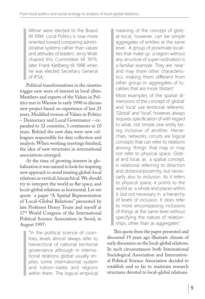Mlinar were elected to the Board till 1994. Local Politics is now more oriented toward comparing administrative systems rather than values and attitudes of leaders. Jerzy Wiatr chaired this Committee till 1979, later Frank Kjellberg till 1988 when he was elected Secretary General of IPSA.

Political transformations in the nineties trigger new wave of interest in local elites. Members and experts of the Values in Politics met in Warsaw in early 1990 to discuss new project based on experience of last 25 years. Modified version of Values in Politics – Democracy and Local Governance – expanded to 32 countries, 3 continents in 10 years. Behind the new data were new colleagues responsible for data collection and analysis. When working meetings finished, the idea of new structures in international associations emerged.

At the time of growing interest in globalization it was natural to look for inspiring new approach to avoid treating global–local relations as vertical, hierarchical. We should try to interpret the world as flat space, and local–global relations as horizontal. Let me quote a paper "A Spatial Representation of Local–Global Relations" presented by late Professor Henry Teune and myself at 17th World Congress of the International Political Science Association in Seoul, in August 1997:

"In the political science of countries, levels almost always refer to hierarchical of national territorial governance although in international relations global usually implies some international system and nation-states and regions within them. The logical empirical meaning of the concept of global–local, however, can be simple aggregates of entities at the same level. A group of proximate localities that make up a region without any structure of super-ordination is a familiar example. They are 'near' and may share other characteristics, making them different from other group or aggregates of localities that are more 'distant'.

Most examples of the spatial dimensions of the concept of 'global' and 'local' use territorial referents. 'Global' and 'local', however, always requires specification of with regard to what, not simple one entity being inclusive of another. Hierarchies, networks, circuits are logical concepts that can refer to relations among 'things' that may or may not refer to physical space. Global and local, as a spatial concept, is relational referring to direction and distance/proximity, but necessarily also to inclusion. As it refers to physical space, it points to the world as a whole and places within it, but not necessary in a hierarchy of levels of inclusion. It does refer to more encompassing inclusions of things at the same level without specifying the nature of relationships, other than as aggregates".

This quote from the paper presented and discussed 19 years ago illustrate climate of early discussion on the local–global relations. In such circumstances both International Sociological Association and International Political Science Association decided to establish and so far to maintain research structures devoted to local–global relations.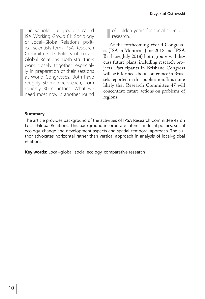The sociological group is called ISA Working Group 01: Sociology of Local–Global Relations, political scientists form IPSA Research Committee 47 Politics of Local– Global Relations. Both structures work closely together, especially in preparation of their sessions at World Congresses. Both have roughly 50 members each, from roughly 30 countries. What we need most now is another round

of golden years for social science research.

At the forthcoming World Congresses (ISA in Montreal, June 2018 and IPSA Brisbane, July 2018) both groups will discuss future plans, including research projects. Participants in Brisbane Congress will be informed about conference in Brussels reported in this publication. It is quite likely that Research Committee 47 will concentrate future actions on problems of regions.

## **Summary**

The article provides background of the activities of IPSA Research Committee 47 on Local–Global Relations. This background incorporate interest in local politics, social ecology, change and development aspects and spatial-temporal approach. The author advocates horizontal rather than vertical approach in analysis of local–global relations.

**Key words:** Local–global, social ecology, comparative research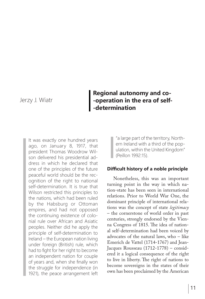Jerzy J. Wiatr

## **Regional autonomy and co- -operation in the era of self- -determination**

It was exactly one hundred years ago, on January 8, 1917, that president Thomas Woodrow Wilson delivered his presidential address in which he declared that one of the principles of the future peaceful world should be the recognition of the right to national self-determination. It is true that Wilson restricted this principles to the nations, which had been ruled by the Habsburg or Ottoman empires, and had not opposed the continuing existence of colonial rule over African and Asiatic peoples. Neither did he apply the principle of self-determination to Ireland – the European nation living under foreign (British) rule, which had to fight for her right to become an independent nation for couple of years and, when she finally won the struggle for independence (in 1921), the peace arrangement left

"a large part of the territory, Northern Ireland with a third of the population, within the United Kingdom" (Peillon 1992:15).

## **Difficult history of a noble principle**

Nonetheless, this was an important turning point in the way in which nation-state has been seen in international relations. Prior to World War One, the dominant principle of international relations was the concept of state *legitimacy* – the cornerstone of world order in past centuries, strongly endorsed by the Vienna Congress of 1815. The idea of national self-determination had been voiced by advocates of the natural laws, who – like Emerich de Vattel (1714-1767) and Jean-Jacques Rousseau (1712-1778) – considered it a logical consequence of the right to live in liberty. The right of nations to become sovereigns in the states of their own has been proclaimed by the American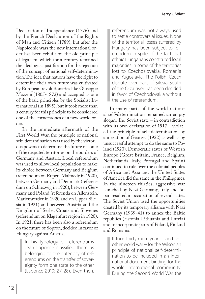Declaration of Independence (1776) and by the French Declaration of the Rights of Man and Citizen (1789), but after the Napoleonic wars the new international order has been rebuilt on the old principle of legalism, which for a century remained the ideological justification for the rejection of the concept of national self-determination. The idea that nations have the right to determine their own future was cultivated by European revolutionaries like Giuseppe Mazzini (1805-1872) and accepted as one of the basic principles by the Socialist International (in 1895), but it took more than a century for this principle to be considered one of the cornerstones of a new world order.

In the immediate aftermath of the First World War, the principle of national self-determination was used by the victorious powers to determine the future of some of the disputed territories on the borders of Germany and Austria. Local referendum was used to allow local population to make its choice between Germany and Belgium (referendum on Eupen-Malmedy in 1920), between Germany and Denmark (referendum on Schlezwig in 1920), between Germany and Poland (referenda on Allenstein, Marienwerder in 1920 and on Upper Silesia in 1921) and between Austria and the Kingdom of Serbs, Croats and Slovenes (referendum on Klagenfurt region in 1920). In 1921, there has been also a referendum on the future of Sopron, decided in favor of Hungary against Austria.

> In his typology of referendums Jean Laponce classified them as belonging to the category of referendums on the transfer of sovereignty form one state to the other (Laponce 2010: 27-28). Even then,

referendum was not always used to settle controversial issues. None of the territorial losses suffered by Hungary has been subject to referendum in spite of the fact that ethnic Hungarians constituted local majorities in some of the territories lost to Czechoslovakia, Romania and Yugoslavia. The Polish–Czech dispute over part of Silesia South of the Olza river has been decided in favor of Czechoslovakia without the use of referendum.

In many parts of the world national self-determination remained an empty slogan. The Soviet state – in contradiction with its own declaration of 1917 – violated the principle of self-determination by annexation of Georgia (1922) as well as by unsuccessful attempt to do the same to Poland (1920). Democratic states of Western Europe (Great Britain, France, Belgium, Netherlands, Italy, Portugal and Spain) continued to rule over the colonial peoples of Africa and Asia and the United States of America did the same in the Philippines. In the nineteen-thirties, aggressive war launched by Nazi Germany, Italy and Japan resulted in occupation of several states. The Soviet Union used the opportunities created by its temporary alliance with Nazi Germany (1939-41) to annex the Baltic republics (Estonia Lithuania and Latvia) and to incorporate parts of Poland, Finland and Romania.

It took thirty more years – and another world war – for the Wilsonian principle of national self-determination to be included in an international document binding for the whole international community. During the Second World War the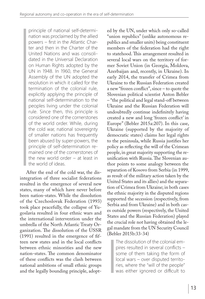principle of national self-determination was proclaimed by the allied powers – first in the Atlantic Charter and then in the Charter of the United Nations and was consolidated in the Universal Declaration on Human Rights adopted by the UN in 1948. In 1960, the General Assembly of the UN adopted the resolution in which it called for the termination of the colonial rule, explicitly applying the principle of national self-determination to the peoples living under the colonial rule. Since then, this principle is considered one of the cornerstones of the world order. While, during the cold war, national sovereignty of smaller nations has frequently been abused by super-powers, the principle of self-determination remained one of the cornerstones of the new world order – at least in the world of ideas.

After the end of the cold war, the disintegration of three socialist federations resulted in the emergence of several new states, many of which have never before been nation-states. While the dissolution of the Czechoslovak Federation (1993) took place peacefully, the collapse of Yugoslavia resulted in four ethnic wars and the international intervention under the umbrella of the North Atlantic Treaty Organization. The dissolution of the USSR (1991) resulted in the emergence of fifteen new states and in the local conflicts between ethnic minorities and the new nation-states. The common denominator of these conflicts was the clash between national ambitions of small ethnic groups and the legally bounding principle, adopt-

ed by the UN, under which only so-called "union republics" (unlike autonomous republics and smaller units) being constituent members of the federation had the right to statehood. This arrangement resulted in several local wars on the territory of former Soviet Union (in Georgia, Moldova, Azerbaijan and, recently, in Ukraine). In early 2014, the transfer of Crimea from Ukraine to the Russian Federation created a new "frozen conflict", since – to quote the Slovenian political scientist Anton Bebler – "the political and legal stand-off between Ukraine and the Russian Federation will undoubtedly continue indefinitely having created a new and long 'frozen conflict' in Europe" (Bebler 2015a:207). In this case, Ukraine (supported by the majority of democratic states) claims her legal rights to the peninsula, while Russia justifies her policy as reflecting the will of the Crimean people, in great majority supporting the reunification with Russia. The Slovenian author points to some analogy between the separation of Kosovo from Serbia (in 1999, as result of the military action taken by the United States and its allies) and the separation of Crimea from Ukraine; in both cases the ethnic majority in the disputed regions supported the secession (respectively, from Serbia and from Ukraine) and in both cases outside powers (respectively, the United States and the Russian Federation) played the crucial role not having obtained the legal mandate from the UN Security Council (Bebler 2015b:33-34)

> The dissolution of the colonial empires resulted in several conflicts – some of them taking the form of local wars – over disputed territories, where the "will of the people" was either ignored or difficult to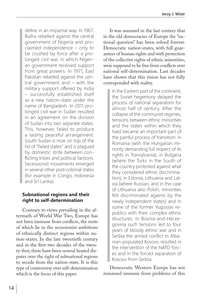define in an impartial way. In 1967, Biafra rebelled against the central government of Nigeria and proclaimed independence – only to be crushed by force after a prolonged civil war, in which Nigerian government received support from great powers. In 1971, East Pakistan rebelled against the central government and – with the military support offered by India – successfully established itself as a new nation-state under the name of Bangladesh. In 2011 prolonged civil war in Sudan resulted in an agreement on the division of Sudan into two separate states. This, however, failed to produce a lasting peaceful arrangement. South Sudan is now on top of the list of "failed states" and is plagued by domestic strife between conflicting tribes and political factions. Secessionist movements emerged in several other post-colonial states (for example in Congo, Indonesia and Sri Lanka).

## **Subnational regions and their right to self-determination**

Contrary to views prevailing in the aftermath of World War Two, Europe has not been immune from conflicts, the roots of which lie in the secessionist ambitions of ethnically distinct regions within nation-states. In the late twentieth century and in the first two decades of the twenty-first, there have been several heated disputes over the right of subnational regions to secede from the nation-state. It is this type of controversy over self-determination which is the focus of this paper.

It was assumed in the last century that in the old democracies of Europe the "national question" has been solved forever. Democratic nation-states, with full guarantees of human rights and with protection of the collective rights of ethnic minorities, were supposed to be free from conflicts over national self-determination. Last decades have shown that this vision has not fully corresponded with reality.

In the Eastern part of the continent, the Soviet hegemony delayed the process of national separatism for almost half of century. After the collapse of the communist regimes, tensions between ethnic minorities and the states within which they lived became an important part of the painful process of transition: in Romania (with the Hungarian minority demanding full respect of its rights in Transylvania), in Bulgaria (where the Turks in the South of the country protested against what they considered ethnic discrimination), in Estonia, Lithuania and Latvia (where Russian, and in the case of Lithuania also Polish, minorities felt discriminated against by the newly independent states) and in some of the former Yugoslav republics with their complex ethnic structures. In Bosnia-and-Herzegovina such tensions led to four years of bloody ethnic war and in Serbia the armed conflict in Albanian-populated Kosovo resulted in the intervention of the NATO forces and in the forced separation of Kosovo from Serbia.

Democratic Western Europe has not remained immune from problems of this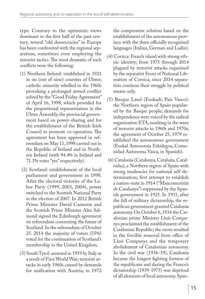type. Contrary to the optimistic views dominant in the first half of the past century, several "old democracies" in Europe has been confronted with the regional separatism, sometimes even employing the terrorist tactics. The most dramatic of such conflicts were the following:

- (1) Northern Ireland: established in 1921 in six (out of nine) counties of Ulster; catholic minority rebelled in the 1960s provoking a prolonged armed conflict solved by the "Good Friday Agreement" of April 16, 1998, which provided for the proportional representation in the Ulster Assembly, the provincial government based on power-sharing and for the establishment of the British-Irish Council to promote co-operation. The agreement has been approved in referendum on May 11, 1998 carried out in the Republic of Ireland and in Northern Ireland (with 94.4% in Ireland and 71.1% votes "yes" respectively).
- (2) Scotland: establishment of the local parliament and government in 1998. After the electoral victories of the Labor Party (1999, 2003, 2004), power switched to the Scottish National Party in the election of 2007. In 2012 British Prime Minister David Cameron and the Scottish Prime Minister Alex Salmond signed the Edinburgh agreement on referendum concerning the future of Scotland. In the referendum of October 25. 2014 the majority of voters (55%) voted for the continuation of Scotland's membership in the United Kingdom.
- (3) South Tyrol: annexed in 1919 by Italy as a result of First World War; terrorist attacks in early 1960s caused by demands for unification with Austria; in 1972

the compromise solution based on the establishment of the autonomous province with the three officially recognized languages (Italian, German and Ladin).

- (4) Corsica: French island with strong ethnic identity; from 1975 through 2014 plagued by terrorist attacks organized by the separatist Front of National Liberation of Corsica; since 2014 separatists continue their struggle by political means only.
- (5) Basque Land (Euskadi, Pais Vasco): the Northern region of Spain populated by the Basque people; demands for independence were voiced by the radical organization ETA, resulting in the wave of terrorist attacks in 1960s and 1970s; the agreement of October 25, 1979 established the autonomous government (Euskal Autonomia Erkidegoa, Comunidad Autonoma Vasca, in Spanish).
- (6) Catalonia (Catalunya, Cataluña*,* Catalonha), a Northern region of Spain with strong tendencies for national self-determination; first attempt to establish a nation-state in 1914 ("Mancomunitat de Catalunya") suppressed by the Spanish government in 1925. In 1931, after the fall of military dictatorship, the republican government granted Catalonia autonomy. On October 6, 1934 the Catalonian prime Minister Lluís Companys proclaimed the establishment of the Catalonian Republic; the move resulted in the forcible removal from office of Lluís Companys and the temporary abolishment of Catalonian autonomy. In the civil war (1936-39), Catalonia became the longest fighting fortress of the republicans and during the Franco's dictatorship (1939-1975) was deprived of all elements of local autonomy. Span-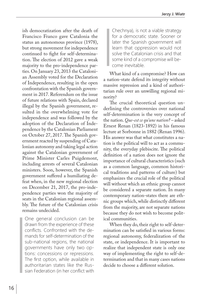ish democratization after the death of Francisco Franco gave Catalonia the status an autonomous province (1978), but strong movement for independence continued to fight for self-determination. The election of 2012 gave a weak majority to the pro-independence parties. On January 23, 2013 the Catalonian Assembly voted for the Declaration of Independence, resulting in the open confrontation with the Spanish government in 2017. Referendum on the issue of future relations with Spain, declared illegal by the Spanish government, resulted in the overwhelming vote for independence and was followed by the adoption of the Declaration of Independence by the Catalonian Parliament on October 27, 2017. The Spanish government reacted by suspending of Catalonian autonomy and taking legal action against the Catalonian government of Prime Minister Carles Puigdemont, including arrests of several Catalonian ministers. Soon, however, the Spanish government suffered a humiliating defeat when, in the new regional election on December 21, 2017, the pro-independence parties won the majority of seats in the Catalonian regional assembly. The future of the Catalonian crisis remains undecided.

One general conclusion can be drawn from the experience of these conflicts. Confronted with the demands for self-determination of the sub-national regions, the national governments have only two options: concessions or repressions. The first option, while available in authoritarian states like the Russian Federation (in her conflict with

Chechnya), is not a viable strategy for a democratic state. Sooner or later the Spanish government will learn that oppression would not solve the Catalonian crisis and that some kind of a compromise will become inevitable.

What kind of a compromise? How can a nation-state defend its integrity without massive repression and a kind of authoritarian rule over an unwilling regional minority?

The crucial theoretical question underlining the controversies over national self-determination is the very concept of the nation. *Que-est ce qu'une nation? –* asked Ernest Renan (1823-1892) in his famous lecture at Sorbonne in 1882 (Renan 1996). His answer was that what constitutes a nation is the political will to act as a community, the everyday plebiscite. The political definition of a nation does not ignore the importance of cultural characteristics (such as a common language, common historical traditions and patterns of culture) but emphasizes the crucial role of the political will without which an ethnic group cannot be considered a separate nation. In many contemporary nation-states there are ethnic groups which, while distinctly different from the majority, are not separate nations because they do not wish to become political communities.

When they do, their right to self-determination can be satisfied in various forms: regional autonomy, federalization of the state, or independence. It is important to realize that independent state is only one way of implementing the right to self-determination and that in many cases nations decide to choose a different solution.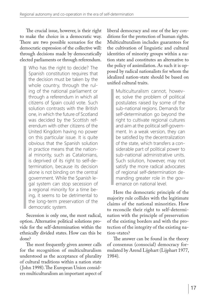The crucial issue, however, is their right to make the choice in a democratic way. There are two possible scenarios for the democratic expression of the collective will: through decisions made by democratically elected parliaments or through referendum.

Who has the right to decide? The Spanish constitution requires that the decision must be taken by the whole country, through the ruling of the national parliament or through a referendum in which all citizens of Spain could vote. Such solution contrasts with the British one, in which the future of Scotland was decided by the Scottish referendum with other citizens of the United Kingdom having no power on this particular issue. It is quite obvious that the Spanish solution in practice means that the national minority, such as Catalonians, is deprived of its right to self-determination, because its decision alone is not binding on the central government. While the Spanish legal system can stop secession of a regional minority for a time being, it seems to be detrimental to the long-term preservation of the democratic system.

Secession is only one, the most radical, option. Alternative political solutions provide for the self-determination within the ethnically divided states. How can this be done?

The most frequently given answer calls for the recognition of multiculturalism understood as the acceptance of plurality of cultural traditions within a nation state ( John 1998). The European Union considers multiculturalism an important aspect of liberal democracy and one of the key conditions for the protection of human rights. Multiculturalism includes guarantees for the cultivation of linguistic and cultural identities of minority groups within a nation state and constitutes an alternative to the policy of assimilation. As such it is opposed by radical nationalists for whom the idealized nation-state should be based on unified cultural traits.

Multiculturalism cannot, however, solve the problem of political postulates raised by some of the sub-national regions. Demands for self-determination go beyond the right to cultivate regional cultures and aim at the political self-government. In a weak version, they can be satisfied by the decentralization of the state, which transfers a considerable part of political power to sub-national administrative units. Such solution, however, may not satisfy the more radical advocates of regional self-determination demanding greater role in the governance on national level.

Here the democratic principle of the majority rule collides with the legitimate claims of the national minorities. How to reconcile their right to self-determination with the principle of preservation of the existing borders and with the protection of the integrity of the existing nation-states?

The answer can be found in the theory of consensus (consocial) democracy formulated by Arend Lijphart (Lijphart 1977, 1984).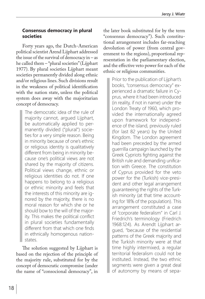## **Consensus democracy in plural societies**

Forty years ago, the Dutch-American political scientist Arend Lijphart addressed the issue of the survival of democracy in – as he called them – "plural societies" (Lijphart 1977). By plural societies Lijphart meant societies permanently divided along ethnic and/or religious lines. Such divisions result in the weakness of political identification with the nation state, unless the political system does away with the majoritarian concept of democracy.

> The democratic idea of the rule of majority cannot, argued Lijphart, be automatically applied to permanently divided ("plural") societies for a very simple reason. Being in minority because of one's ethnic or religious identity is qualitatively different from being in minority because one's political views are not shared by the majority of citizens. Political views change, ethnic or religious identities do not. If one happens to belong to a religious or ethnic minority and feels that the interests of this minority are ignored by the majority, there is no moral reason for which she or he should bow to the will of the majority. This makes the political conflict in plural societies fundamentally different from that which one finds in ethnically homogenous nationstates.

The solution suggested by Lijphart is based on the rejection of the principle of the majority rule, substituted for by the concept of democratic compromise (under the name of "consocional democracy", in

the later book substituted for by the term "consensus democracy"). Such constitutional arrangement includes far-reaching devolution of power (from central government to the regions), proportional representation in the parliamentary election, and the effective veto power for each of the ethnic or religious communities.

> Prior to the publication of Lijphart's books, "consensus democracy" experienced a dramatic failure in Cyprus, where it had been introduced (in reality, if not in name) under the London Treaty of 1960, which provided the internationally agreed upon framework for independence of the island, previously ruled (for last 82 years) by the United Kingdom. The London agreement had been preceded by the armed guerrilla campaign launched by the Greek Cypriots fighting against the British rule and demanding unification with Greece. The constitution of Cyprus provided for the veto power for the (Turkish) vice-president and other legal arrangement guaranteeing the rights of the Turkish minority (at that time accounting for 18% of the population). This arrangement constituted a case of "corporate federalism" in Carl J. Friedrich's terminology (Friedrich 1968:124). As Arendt Lijphart argued, "because of the residential patterns of the Greek majority and the Turkish minority were at that time highly intermixed, a regular territorial federalism could not be instituted. Instead, the two ethnic segments were given a great deal of autonomy by means of sepa-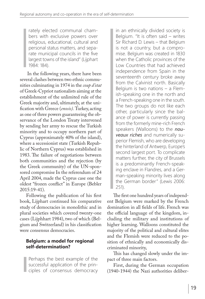rately elected communal chambers with exclusive powers over religious, educational, cultural and personal status matters, and separate municipal councils in the five largest towns of the island" (Lijphart 1984: 184).

 In the following years, there have been several clashes between two ethnic communities culminating in 1974 in the *coup d'etat* of Greek-Cypriot nationalists aiming at the establishment of the unlimited rule of the Greek majority and, ultimately, at the unification with Greece (*enosis).* Turkey, acting as one of three powers guaranteeing the observance of the London Treaty intervened by sending her army to rescue the Turkish minority and to occupy northern part of Cyprus (approximately 40% of the island), where a secessionist state (Turkish Republic of Northern Cyprus) was established in 1983. The failure of negotiations between both communities and the rejection (by the Greek community) of the UN-sponsored compromise In the referendum of 24 April 2004, made the Cyprus case one the oldest "frozen conflict" in Europe (Bebler 2015:19-41).

Following the publication of his first book, Lijphart continued his comparative study of democracies in monolithic and in plural societies which covered twenty-one cases (Lijphhart 1984), two of which (Belgium and Switzerland) in his classification were consensus democracies.

## **Belgium: a model for regional self-determination?**

Perhaps the best example of the successful application of the principles of consensus democracy

in an ethnically divided society is Belgium. "It is often said – writes Sir Richard D. Lewis – that Belgium is not a country, but a compromise. Belgium was created in 1830 when the Catholic provinces of the Low Countries that had achieved independence from Spain in the seventeenth century broke away from the Calvinist north. Basically Belgium is two nations – a Flemish-speaking one in the north and a French-speaking one in the south. The two groups do not like each other, particularly since the balance of power is currently passing from the formerly mine-rich French speakers (Walloons) to the *nouveaux riches* and numerically superior Flemish, who are developing the hinterland of Antwerp, Europe's second largest port. To complicate matters further, the city of Brussels is a predominantly French-speaking enclave in Flandres, and a German-speaking minority lives along the German border" (Lewis 2006: 251).

The first one hundred years of independent Belgium were marked by the French domination in all fields of life. French was the official language of the kingdom, including the military and institutions of higher learning. Walloons constituted the majority of the political and cultural elites and the Flemish were reduced to the position of ethnically and economically discriminated minority,

This has changed slowly under the impact of three main factors.

First, during the German occupation (1940-1944) the Nazi authorities deliber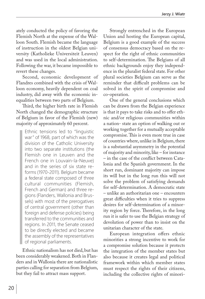ately conducted the policy of favoring the Flemish North at the expense of the Walloon South. Flemish became the language of instruction in the oldest Belgian university (Katholieke Universiteit Leuven) and was used in the local administration. Following the war, it became impossible to revert these changes.

Second, economic development of Flandres combined with the crisis of Walloon economy, heavily dependent on coal industry, did away with the economic inequalities between two parts of Belgium.

Third, the higher birth rate in Flemish North changed the demographic structure of Belgium in favor of the Flemish (new) majority of approximately 60 percent.

> Ethnic tensions led to "linguistic war" of 1968, part of which was the division of the Catholic University into two separate institutions (the Flemish one in Leuven and the French one in Louvain-la-Neuve) and in the series of six state reforms (1970-2011). Belgium became a federal state composed of three cultural communities (Flemish, French and German) and three regions (Flanders, Wallonia and Brussels) with most of the prerogatives of central government (other than foreign and defense policies) being transferred to the communities and regions. In 2011, the Senate ceased to be directly elected and became the assembly of the representatives of regional parliaments.

Ethnic nationalism has not died, but has been considerably weakened. Both in Flanders and in Wallonia there are nationalistic parties calling for separation from Belgium, but they fail to attract mass support.

Strongly entrenched in the European Union and hosting the European capital, Belgium is a good example of the success of consensus democracy based on the respect for the right of ethnic communities to self-determination. The Belgians of all ethnic backgrounds enjoy they independence in the pluralist federal state. For other plural societies Belgium can serve as the reminder that difficult problems can be solved in the spirit of compromise and co-operation.

One of the general conclusions which can be drawn from the Belgian experience is that it pays to take risks and to offer ethnic and/or religious communities within a nation- state an option of walking out or working together for a mutually acceptable compromise. This is even more true in case of countries where, unlike in Belgium, there is a substantial asymmetry in the potential of majority and minority, like – for instance – in the case of the conflict between Catalonia and the Spanish government. In the short run, dominant majority can impose its will but in the long run this will not solve the problem of satisfying demands for self-determination. A democratic state – unlike an authoritarian one – encounters great difficulties when it tries to suppress desires for self-determination of a minority region by force. Therefore, in the long run it is safer to use the Belgian strategy of devolution of power than to insist on the unitarian character of the state.

European integration offers ethnic minorities a strong incentive to work for a compromise solution because it protects the integration of the member states but also because it creates legal and political framework within which member states must respect the rights of their citizens, including the collective rights of minori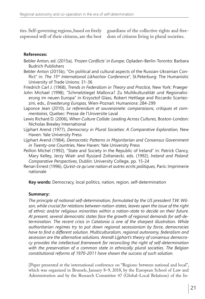ties. Self-governing regions, based on freely expressed will of their citizens, are the best

guardians of the collective rights and freedom of citizens living in plural societies.

## **References:**

- Bebler Anton, ed. (2015a), *'Frozen Conflicts' in Europe,* Opladen-Berlin-Toronto: Barbara Budrich Publishers
- Bebler Anton (2015b), "On political and cultural aspects of the Russian-Ukrainian Conflict" in: *The 15th International Likhachov Conference*", St.Peterburg: The Humanistic University of Trade Unions: 31-36
- Friedrich Carl J. (1968), *Trends in Federalism in Theory and Practice,* New York: Praeger
- John Michael (1998), "Schmelztiegel Mallorca? Zu Multikulturalität und Regionalisierung im neuen Europa" in Krzysztof Glass, Robert Hettlage and Riccardo Scartezzini, eds., *Erweiterung Europas,* Wien-Poznań: Humaniora: 284-299
- Laponce Jean (2010), *Le referendum et souverainete: comparaisons, critiques et commentaires,* Quebec: Presse de l'Universite Laval
- Lewis Richard D. (2006), *When Culture Collide: Leading Across Cultures,* Boston-London: Nicholas Brealey International
- Lijphart Arend (1977), *Democracy in Plural Societies: A Comparative Exploration,* New Haven: Yale University Press
- Lijphart Arend (1984), *Democratic Patterns in Majoritarian and Consensus Government in Twenty-one Countries,* New Haven: Yale University Press
- Peillon Michel (1992), "State and Society in the Republic of Ireland" in: Patrick Clancy, Mary Kelley, Jerzy Wiatr and Ryszard Zoltaniecki, eds. (1992), *Ireland and Poland: Comparative Perspectives,* Dublin: University College, pp. 15-24
- Renan Ernest (1996), *Qu'est-ce qu'une nation et autres ecrits politiques,* Paris: Imprimerie nationale

**Key words:** Democracy, local politics, nation, region, self-determination

## **Summary:**

*The principle of national self-determination, formulated by the US president T.W. Wilson, while crucial for relations between nation-states, leaves open the issue of the right of ethnic and/or religious minorities within a nation-state to decide on their future. At present, several democratic states face the growth of regional demands for self-determination. The recent crisis in Catalonia is one of the sharpest illustration. While authoritarian regimes try to put down regional secessionism by force, democracies have to find a different solution. Multiculturalism, regional autonomy, federalism and secession are the alternative solutions. Arendt Lijphart's theory of consensus democracy provides the intellectual framework for reconciling the right of self-determination with the preservation of a common state in ethnically plural societies. The Belgian constitutional reforms of 1970-2011 have shown the success of such solution.* 

[Paper presented at the international conference on "Regions: between national and local", which was organized in Brussels, January 8–9, 2018, by the European School of Law and Administration and by the Research Committee 47 (Global–Local Relations) of the In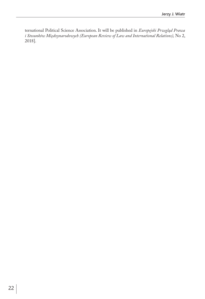ternational Political Science Association. It will be published in *Europejski Przegląd Prawa i Stosunków Międzynarodowych (European Review of Law and International Relations),* No 2, 2018].